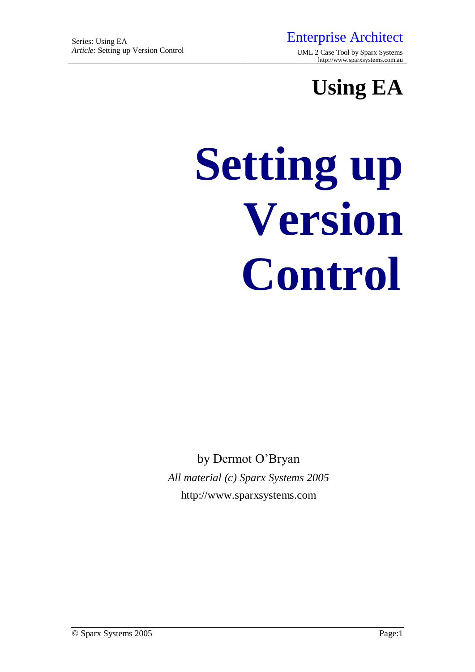*Article*: Setting up Version Control UML 2 Case Tool by Sparx Systems <http://www.sparxsystems.com.au>

**Using EA**

# **Setting up Version Control**

by Dermot O'Bryan *All material (c) Sparx Systems 2005* <http://www.sparxsystems.com>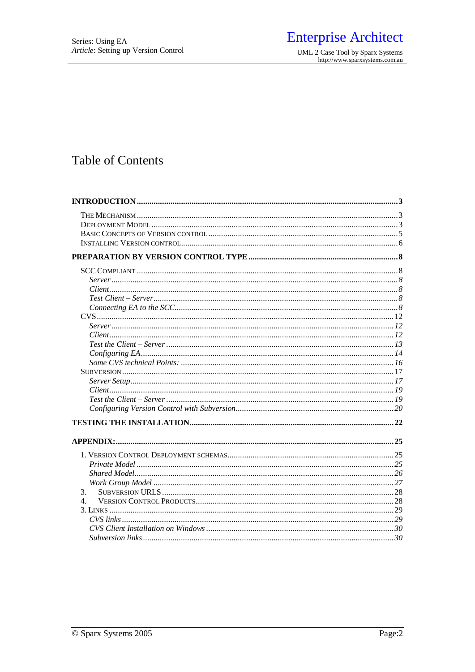# **Enterprise Architect**

UML 2 Case Tool by Sparx Systems<br>http://www.sparxsystems.com.au

# **Table of Contents**

| 3.             |  |
|----------------|--|
| 4 <sub>1</sub> |  |
|                |  |
|                |  |
|                |  |
|                |  |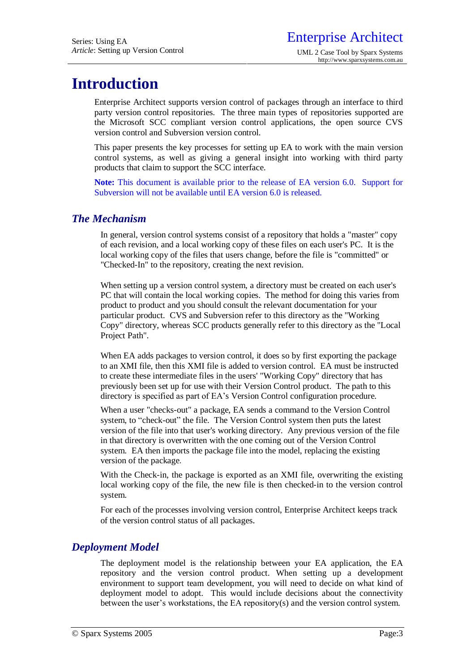# **Introduction**

Enterprise Architect supports version control of packages through an interface to third party version control repositories. The three main types of repositories supported are the Microsoft SCC compliant version control applications, the open source CVS version control and Subversion version control.

This paper presents the key processes for setting up EA to work with the main version control systems, as well as giving a general insight into working with third party products that claim to support the SCC interface.

**Note:** This document is available prior to the release of EA version 6.0. Support for Subversion will not be available until EA version 6.0 is released.

# *The Mechanism*

In general, version control systems consist of a repository that holds a "master" copy of each revision, and a local working copy of these files on each user's PC. It is the local working copy of the files that users change, before the file is "committed" or "Checked-In" to the repository, creating the next revision.

When setting up a version control system, a directory must be created on each user's PC that will contain the local working copies. The method for doing this varies from product to product and you should consult the relevant documentation for your particular product. CVS and Subversion refer to this directory as the "Working Copy" directory, whereas SCC products generally refer to this directory as the "Local Project Path".

When EA adds packages to version control, it does so by first exporting the package to an XMI file, then this XMI file is added to version control. EA must be instructed to create these intermediate files in the users' "Working Copy" directory that has previously been set up for use with their Version Control product. The path to this directory is specified as part of EA's Version Control configuration procedure.

When a user "checks-out" a package, EA sends a command to the Version Control system, to "check-out" the file. The Version Control system then puts the latest version of the file into that user's working directory. Any previous version of the file in that directory is overwritten with the one coming out of the Version Control system. EA then imports the package file into the model, replacing the existing version of the package.

With the Check-in, the package is exported as an XMI file, overwriting the existing local working copy of the file, the new file is then checked-in to the version control system.

For each of the processes involving version control, Enterprise Architect keeps track of the version control status of all packages.

# *Deployment Model*

The deployment model is the relationship between your EA application, the EA repository and the version control product. When setting up a development environment to support team development, you will need to decide on what kind of deployment model to adopt. This would include decisions about the connectivity between the user's workstations, the EA repository(s) and the version control system.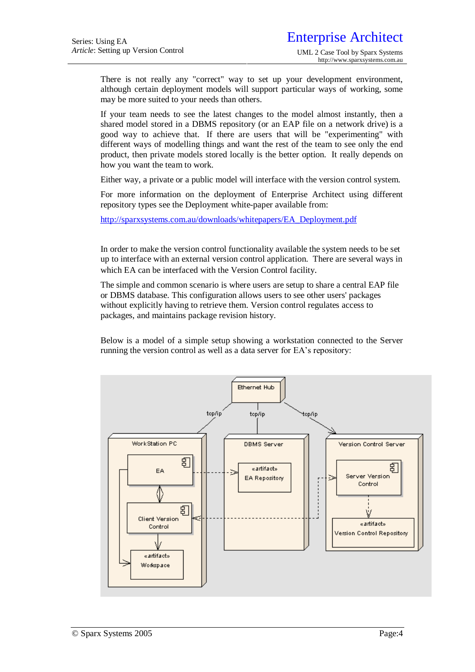There is not really any "correct" way to set up your development environment, although certain deployment models will support particular ways of working, some may be more suited to your needs than others.

If your team needs to see the latest changes to the model almost instantly, then a shared model stored in a DBMS repository (or an EAP file on a network drive) is a good way to achieve that. If there are users that will be "experimenting" with different ways of modelling things and want the rest of the team to see only the end product, then private models stored locally is the better option. It really depends on how you want the team to work.

Either way, a private or a public model will interface with the version control system.

For more information on the deployment of Enterprise Architect using different repository types see the Deployment white-paper available from:

[http://sparxsystems.com.au/downloads/whitepapers/EA\\_Deployment.pdf](http://sparxsystems.com.au/downloads/whitepapers/EA_Deployment.pdf)

In order to make the version control functionality available the system needs to be set up to interface with an external version control application. There are several ways in which EA can be interfaced with the Version Control facility.

The simple and common scenario is where users are setup to share a central EAP file or DBMS database. This configuration allows users to see other users' packages without explicitly having to retrieve them. Version control regulates access to packages, and maintains package revision history.

Below is a model of a simple setup showing a workstation connected to the Server running the version control as well as a data server for EA's repository:

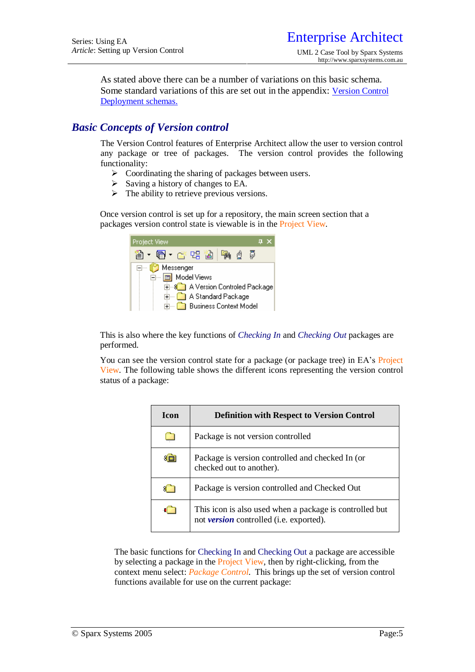As stated above there can be a number of variations on this basic schema. Some standard variations of this are set out in the appendix: Version Control Deployment schemas.

# *Basic Concepts of Version control*

The Version Control features of Enterprise Architect allow the user to version control any package or tree of packages. The version control provides the following functionality:

- $\triangleright$  Coordinating the sharing of packages between users.
- $\triangleright$  Saving a history of changes to EA.
- $\triangleright$  The ability to retrieve previous versions.

Once version control is set up for a repository, the main screen section that a packages version control state is viewable is in the Project View.



This is also where the key functions of *Checking In* and *Checking Out* packages are performed.

You can see the version control state for a package (or package tree) in EA's Project View. The following table shows the different icons representing the version control status of a package:

| <b>Icon</b> | <b>Definition with Respect to Version Control</b>                                                  |
|-------------|----------------------------------------------------------------------------------------------------|
|             | Package is not version controlled                                                                  |
| €⊡          | Package is version controlled and checked In (or<br>checked out to another).                       |
|             | Package is version controlled and Checked Out                                                      |
|             | This icon is also used when a package is controlled but<br>not version controlled (i.e. exported). |

The basic functions for Checking In and Checking Out a package are accessible by selecting a package in the Project View, then by right-clicking, from the context menu select: *Package Control*. This brings up the set of version control functions available for use on the current package: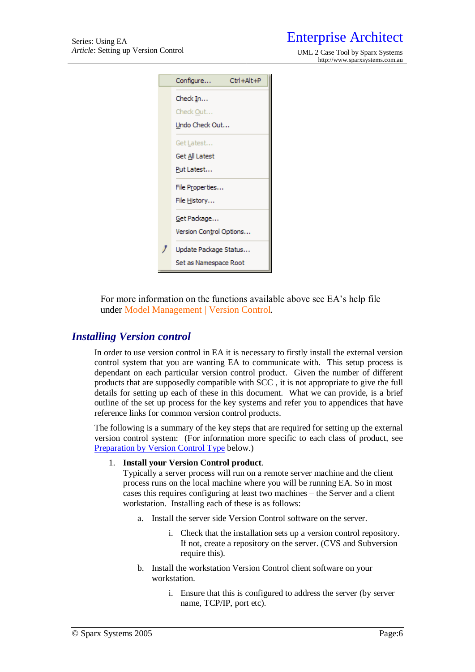*Article*: Setting up Version Control UML 2 Case Tool by Sparx Systems <http://www.sparxsystems.com.au>

| Ctrl+Alt+P<br>Configure |  |
|-------------------------|--|
| Check In                |  |
| Check Out               |  |
| Undo Check Out          |  |
| Get Latest              |  |
| Get All Latest          |  |
| Put Latest              |  |
| File Properties         |  |
| File History            |  |
| Get Package             |  |
| Version Control Options |  |
| Update Package Status   |  |
| Set as Namespace Root   |  |

For more information on the functions available above see EA's help file under Model Management | Version Control.

# *Installing Version control*

In order to use version control in EA it is necessary to firstly install the external version control system that you are wanting EA to communicate with. This setup process is dependant on each particular version control product. Given the number of different products that are supposedly compatible with SCC , it is not appropriate to give the full details for setting up each of these in this document. What we can provide, is a brief outline of the set up process for the key systems and refer you to appendices that have reference links for common version control products.

The following is a summary of the key steps that are required for setting up the external version control system: (For information more specific to each class of product, see Preparation by Version Control Type below.)

#### 1. **Install your Version Control product**.

Typically a server process will run on a remote server machine and the client process runs on the local machine where you will be running EA. So in most cases this requires configuring at least two machines – the Server and a client workstation. Installing each of these is as follows:

- a. Install the server side Version Control software on the server.
	- i. Check that the installation sets up a version control repository. If not, create a repository on the server. (CVS and Subversion require this).
- b. Install the workstation Version Control client software on your workstation.
	- i. Ensure that this is configured to address the server (by server name, TCP/IP, port etc).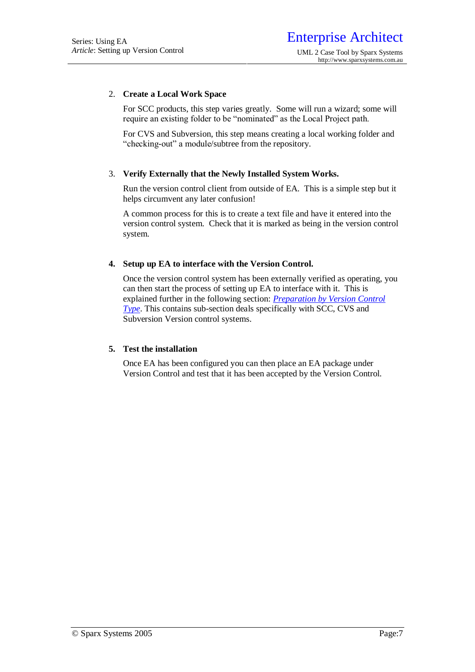#### 2. **Create a Local Work Space**

For SCC products, this step varies greatly. Some will run a wizard; some will require an existing folder to be "nominated" as the Local Project path.

For CVS and Subversion, this step means creating a local working folder and "checking-out" a module/subtree from the repository.

#### 3. **Verify Externally that the Newly Installed System Works.**

Run the version control client from outside of EA. This is a simple step but it helps circumvent any later confusion!

A common process for this is to create a text file and have it entered into the version control system. Check that it is marked as being in the version control system.

#### **4. Setup up EA to interface with the Version Control.**

Once the version control system has been externally verified as operating, you can then start the process of setting up EA to interface with it. This is explained further in the following section: *Preparation by Version Control Type*. This contains sub-section deals specifically with SCC, CVS and Subversion Version control systems.

#### **5. Test the installation**

Once EA has been configured you can then place an EA package under Version Control and test that it has been accepted by the Version Control.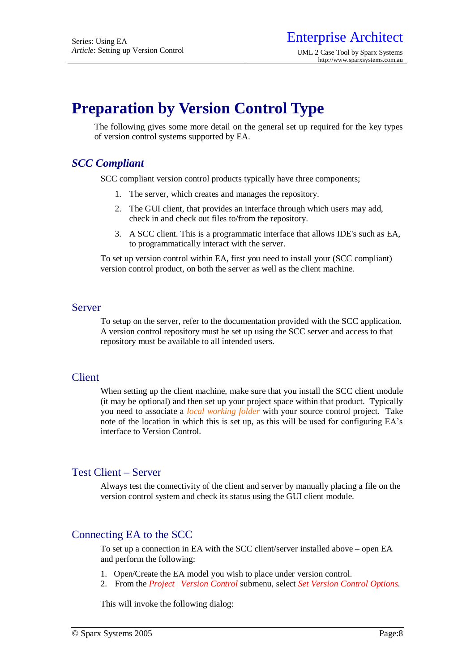# **Preparation by Version Control Type**

The following gives some more detail on the general set up required for the key types of version control systems supported by EA.

# *SCC Compliant*

SCC compliant version control products typically have three components;

- 1. The server, which creates and manages the repository.
- 2. The GUI client, that provides an interface through which users may add, check in and check out files to/from the repository.
- 3. A SCC client. This is a programmatic interface that allows IDE's such as EA, to programmatically interact with the server.

To set up version control within EA, first you need to install your (SCC compliant) version control product, on both the server as well as the client machine.

#### Server

To setup on the server, refer to the documentation provided with the SCC application. A version control repository must be set up using the SCC server and access to that repository must be available to all intended users.

## Client

When setting up the client machine, make sure that you install the SCC client module (it may be optional) and then set up your project space within that product. Typically you need to associate a *local working folder* with your source control project. Take note of the location in which this is set up, as this will be used for configuring EA's interface to Version Control.

# Test Client – Server

Always test the connectivity of the client and server by manually placing a file on the version control system and check its status using the GUI client module.

# Connecting EA to the SCC

To set up a connection in EA with the SCC client/server installed above – open EA and perform the following:

- 1. Open/Create the EA model you wish to place under version control.
- 2. From the *Project* | *Version Control* submenu, select *Set Version Control Options*.

This will invoke the following dialog: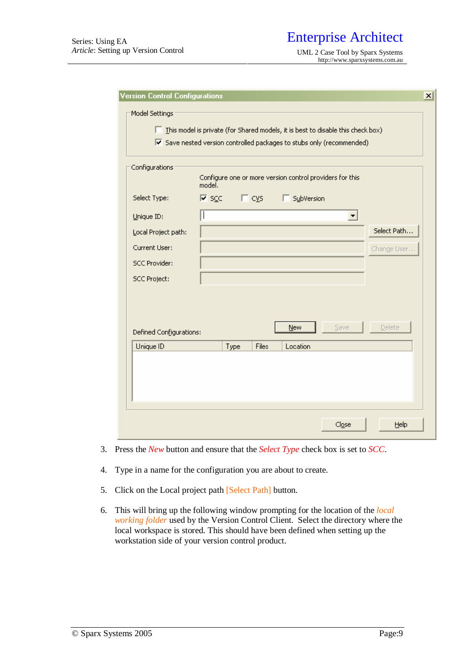| Configurations          | model.                            |               | Configure one or more version control providers for this |                      |             |
|-------------------------|-----------------------------------|---------------|----------------------------------------------------------|----------------------|-------------|
| Select Type:            | $\overline{M}$ scc $\overline{M}$ | $\Box$ cys    | SubVersion                                               |                      |             |
| Unique ID:              |                                   |               |                                                          | $\blacktriangledown$ |             |
| Local Project path:     |                                   |               |                                                          |                      | Select Path |
| Current User:           |                                   |               |                                                          |                      | Change User |
| <b>SCC Provider:</b>    |                                   |               |                                                          |                      |             |
| <b>SCC Project:</b>     |                                   |               |                                                          |                      |             |
|                         |                                   |               |                                                          |                      |             |
|                         |                                   |               |                                                          |                      |             |
| Defined Configurations: |                                   |               | <b>New</b>                                               | Save                 | Delete      |
|                         |                                   | Files<br>Type | Location                                                 |                      |             |

- 3. Press the *New* button and ensure that the *Select Type* check box is set to *SCC*.
- 4. Type in a name for the configuration you are about to create.
- 5. Click on the Local project path [Select Path] button.
- 6. This will bring up the following window prompting for the location of the *local working folder* used by the Version Control Client. Select the directory where the local workspace is stored. This should have been defined when setting up the workstation side of your version control product.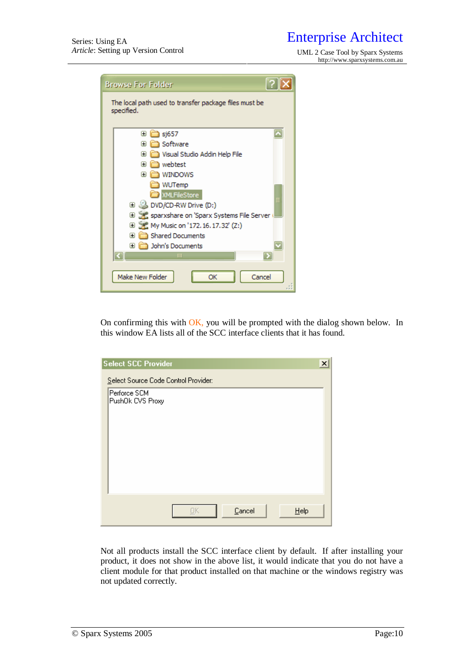<http://www.sparxsystems.com.au>

| <b>Browse For Folder</b>                                            |  |  |  |  |
|---------------------------------------------------------------------|--|--|--|--|
| The local path used to transfer package files must be<br>specified. |  |  |  |  |
| ⊞<br>sj657                                                          |  |  |  |  |
| Software<br>Œ                                                       |  |  |  |  |
| Visual Studio Addin Help File<br>Œ                                  |  |  |  |  |
| ) webtest<br>Ð                                                      |  |  |  |  |
| WINDOWS<br>Œ                                                        |  |  |  |  |
| WUTemp                                                              |  |  |  |  |
| <b>XMLFileStore</b>                                                 |  |  |  |  |
| □ 3 DVD/CD-RW Drive (D:)                                            |  |  |  |  |
| Sparxshare on 'Sparx Systems File Server                            |  |  |  |  |
| <b>E</b> ≥ My Music on '172.16.17.32' (Z:)                          |  |  |  |  |
| Shared Documents<br>Œ                                               |  |  |  |  |
| John's Documents<br>Ð                                               |  |  |  |  |
| III                                                                 |  |  |  |  |
| Make New Folder<br>Cancel<br>ОК                                     |  |  |  |  |

On confirming this with OK, you will be prompted with the dialog shown below. In this window EA lists all of the SCC interface clients that it has found.

| <b>Select SCC Provider</b>           |    |        | $\boldsymbol{\mathsf{x}}$ |
|--------------------------------------|----|--------|---------------------------|
| Select Source Code Control Provider: |    |        |                           |
| Perforce SCM<br>PushOk CVS Proxy     |    |        |                           |
|                                      |    |        |                           |
|                                      |    |        |                           |
|                                      |    |        |                           |
|                                      |    |        |                           |
|                                      |    |        |                           |
|                                      |    |        |                           |
|                                      | OΚ | Cancel | Help                      |

Not all products install the SCC interface client by default. If after installing your product, it does not show in the above list, it would indicate that you do not have a client module for that product installed on that machine or the windows registry was not updated correctly.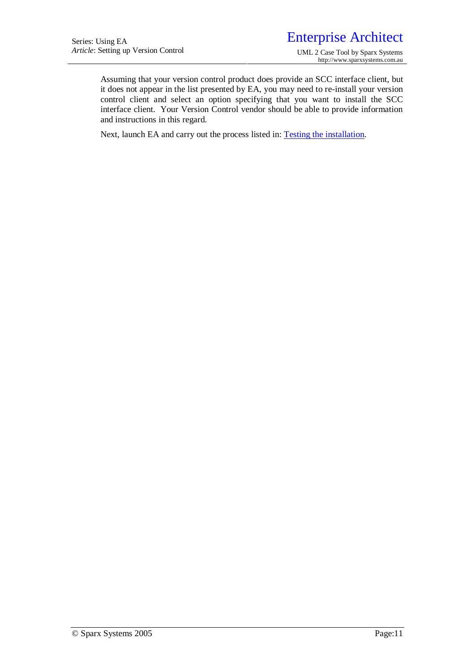Assuming that your version control product does provide an SCC interface client, but it does not appear in the list presented by EA, you may need to re-install your version control client and select an option specifying that you want to install the SCC interface client. Your Version Control vendor should be able to provide information and instructions in this regard.

Next, launch EA and carry out the process listed in: **Testing the installation**.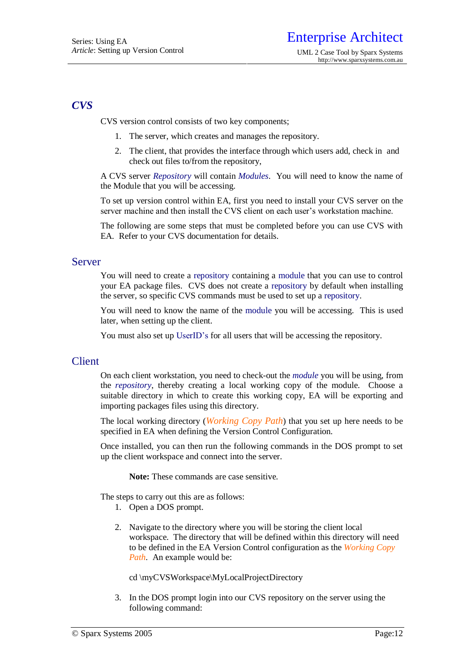# *CVS*

CVS version control consists of two key components;

- 1. The server, which creates and manages the repository.
- 2. The client, that provides the interface through which users add, check in and check out files to/from the repository,

A CVS server *Repository* will contain *Modules*. You will need to know the name of the Module that you will be accessing.

To set up version control within EA, first you need to install your CVS server on the server machine and then install the CVS client on each user's workstation machine.

The following are some steps that must be completed before you can use CVS with EA. Refer to your CVS documentation for details.

#### Server

You will need to create a repository containing a module that you can use to control your EA package files. CVS does not create a repository by default when installing the server, so specific CVS commands must be used to set up a repository.

You will need to know the name of the module you will be accessing. This is used later, when setting up the client.

You must also set up UserID's for all users that will be accessing the repository.

## **Client**

On each client workstation, you need to check-out the *module* you will be using, from the *repository*, thereby creating a local working copy of the module. Choose a suitable directory in which to create this working copy, EA will be exporting and importing packages files using this directory.

The local working directory (*Working Copy Path*) that you set up here needs to be specified in EA when defining the Version Control Configuration.

Once installed, you can then run the following commands in the DOS prompt to set up the client workspace and connect into the server.

**Note:** These commands are case sensitive.

The steps to carry out this are as follows:

- 1. Open a DOS prompt.
- 2. Navigate to the directory where you will be storing the client local workspace. The directory that will be defined within this directory will need to be defined in the EA Version Control configuration as the *Working Copy Path*. An example would be:

cd \myCVSWorkspace\MyLocalProjectDirectory

3. In the DOS prompt login into our CVS repository on the server using the following command: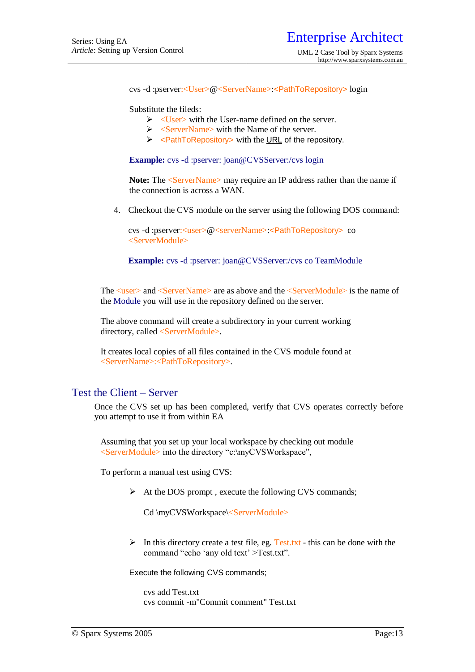cvs -d :pserver:<User>@<ServerName>:<PathToRepository> login

Substitute the fileds:

- $\triangleright$  <User> with the User-name defined on the server.
- $\triangleright$  <ServerName> with the Name of the server.
- $\triangleright$  <PathToRepository> with the URL of the repository.

**Example:** cvs -d :pserver: [joan@CVSServer:](mailto:joan@CVSServer)/cvs login

Note: The  $\leq$ ServerName> may require an IP address rather than the name if the connection is across a WAN.

4. Checkout the CVS module on the server using the following DOS command:

cvs -d :pserver:<user>@<serverName>:<PathToRepository> co <ServerModule>

**Example:** cvs -d :pserver: [joan@CVSServer](mailto:joan@CVSServer):/cvs co TeamModule

The  $\langle$ user $\rangle$  and  $\langle$ ServerName $\rangle$  are as above and the  $\langle$ ServerModule $\rangle$  is the name of the Module you will use in the repository defined on the server.

The above command will create a subdirectory in your current working directory, called <ServerModule>.

It creates local copies of all files contained in the CVS module found at <ServerName>:<PathToRepository>.

## Test the Client – Server

Once the CVS set up has been completed, verify that CVS operates correctly before you attempt to use it from within EA

Assuming that you set up your local workspace by checking out module <ServerModule> into the directory "c:\myCVSWorkspace",

To perform a manual test using CVS:

 $\triangleright$  At the DOS prompt, execute the following CVS commands;

Cd \myCVSWorkspace\<ServerModule>

 $\triangleright$  In this directory create a test file, eg. Test.txt - this can be done with the command "echo 'any old text' >Test.txt".

Execute the following CVS commands;

cvs add Test txt. cvs commit -m"Commit comment" Test.txt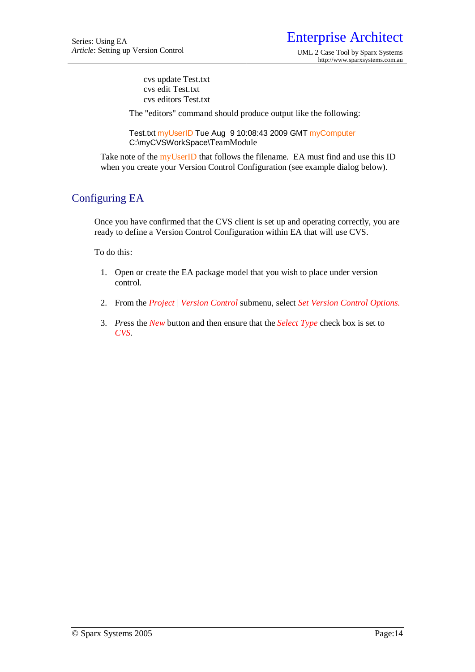cvs update Test.txt cvs edit Test.txt cvs editors Test.txt

The "editors" command should produce output like the following:

Test.txt myUserID Tue Aug 9 10:08:43 2009 GMT myComputer C:\myCVSWorkSpace\TeamModule

Take note of the myUserID that follows the filename. EA must find and use this ID when you create your Version Control Configuration (see example dialog below).

# Configuring EA

Once you have confirmed that the CVS client is set up and operating correctly, you are ready to define a Version Control Configuration within EA that will use CVS.

To do this:

- 1. Open or create the EA package model that you wish to place under version control.
- 2. From the *Project* | *Version Control* submenu, select *Set Version Control Options.*
- 3. *Pr*ess the *New* button and then ensure that the *Select Type* check box is set to *CVS*.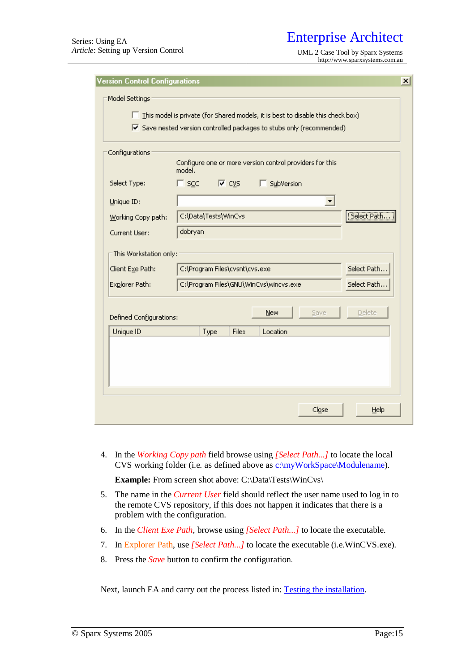*Article*: Setting up Version Control UML 2 Case Tool by Sparx Systems <http://www.sparxsystems.com.au>

| <b>Version Control Configurations</b> |                                                                                                | x |
|---------------------------------------|------------------------------------------------------------------------------------------------|---|
| Model Settings                        |                                                                                                |   |
|                                       | This model is private (for Shared models, it is best to disable this check box)                |   |
|                                       | $\overline{\triangledown}$ Save nested version controlled packages to stubs only (recommended) |   |
|                                       |                                                                                                |   |
| Configurations                        |                                                                                                |   |
|                                       | Configure one or more version control providers for this<br>model.                             |   |
| Select Type:                          | $\Box$ scc $\Box$<br>SubVersion<br>l⊽ c⊻s                                                      |   |
| Unique ID:                            | $\blacktriangledown$                                                                           |   |
| Working Copy path:                    | [Select Path<br>C:\Data\Tests\WinCvs                                                           |   |
| Current User:                         | dobryan                                                                                        |   |
| This Workstation only:                |                                                                                                |   |
|                                       | C:\Program Files\cvsnt\cvs.exe<br>Select Path                                                  |   |
| Client Exe Path:                      |                                                                                                |   |
| Explorer Path:                        | C:\Program Files\GNU\WinCvs\wincvs.exe<br>Select Path                                          |   |
|                                       | Delete                                                                                         |   |
| Defined Configurations:               | Save<br><b>New</b>                                                                             |   |
| Unique ID                             | Type<br><b>Files</b><br>Location                                                               |   |
|                                       |                                                                                                |   |
|                                       |                                                                                                |   |
|                                       |                                                                                                |   |
|                                       |                                                                                                |   |
|                                       | Close<br>Help                                                                                  |   |
|                                       |                                                                                                |   |

4. In the *Working Copy path* field browse using *[Select Path...]* to locate the local CVS working folder (i.e. as defined above as c:\myWorkSpace\Modulename).

Example: From screen shot above: C:\Data\Tests\WinCvs\

- 5. The name in the *Current User* field should reflect the user name used to log in to the remote CVS repository, if this does not happen it indicates that there is a problem with the configuration.
- 6. In the *Client Exe Path*, browse using *[Select Path...]* to locate the executable.
- 7. In Explorer Path, use *[Select Path...]* to locate the executable (i.e.WinCVS.exe).
- 8. Press the *Save* button to confirm the configuration.

Next, launch EA and carry out the process listed in: Testing the installation.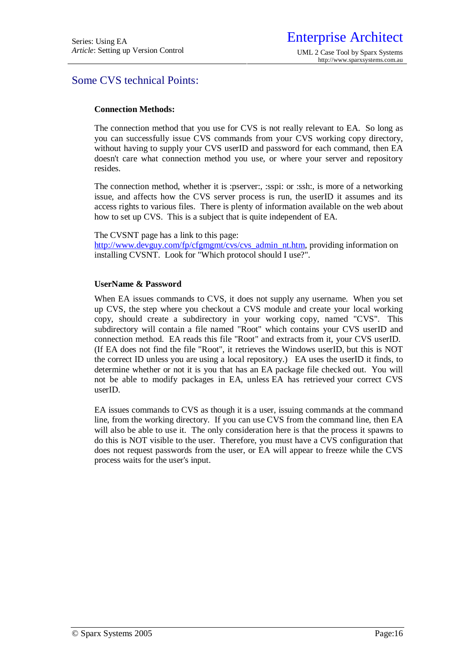# Some CVS technical Points:

#### **Connection Methods:**

The connection method that you use for CVS is not really relevant to EA. So long as you can successfully issue CVS commands from your CVS working copy directory, without having to supply your CVS userID and password for each command, then EA doesn't care what connection method you use, or where your server and repository resides.

The connection method, whether it is :pserver:, :sspi: or :ssh:, is more of a networking issue, and affects how the CVS server process is run, the userID it assumes and its access rights to various files. There is plenty of information available on the web about how to set up CVS. This is a subject that is quite independent of EA.

#### The CVSNT page has a link to this page:

[http://www.devguy.com/fp/cfgmgmt/cvs/cvs\\_admin\\_nt.htm](http://www.devguy.com/fp/cfgmgmt/cvs/cvs_admin_nt.htm), providing information on installing CVSNT. Look for "Which protocol should I use?".

#### **UserName & Password**

When EA issues commands to CVS, it does not supply any username. When you set up CVS, the step where you checkout a CVS module and create your local working copy, should create a subdirectory in your working copy, named "CVS". This subdirectory will contain a file named "Root" which contains your CVS userID and connection method. EA reads this file "Root" and extracts from it, your CVS userID. (If EA does not find the file "Root", it retrieves the Windows userID, but this is NOT the correct ID unless you are using a local repository.) EA uses the userID it finds, to determine whether or not it is you that has an EA package file checked out. You will not be able to modify packages in EA, unless EA has retrieved your correct CVS userID.

EA issues commands to CVS as though it is a user, issuing commands at the command line, from the working directory. If you can use CVS from the command line, then EA will also be able to use it. The only consideration here is that the process it spawns to do this is NOT visible to the user. Therefore, you must have a CVS configuration that does not request passwords from the user, or EA will appear to freeze while the CVS process waits for the user's input.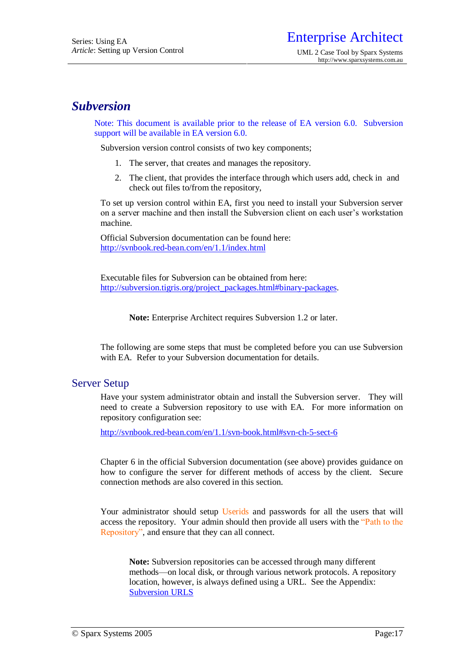# *Subversion*

Note: This document is available prior to the release of EA version 6.0. Subversion support will be available in EA version 6.0.

Subversion version control consists of two key components;

- 1. The server, that creates and manages the repository.
- 2. The client, that provides the interface through which users add, check in and check out files to/from the repository,

To set up version control within EA, first you need to install your Subversion server on a server machine and then install the Subversion client on each user's workstation machine.

Official Subversion documentation can be found here: <http://svnbook.red-bean.com/en/1.1/index.html>

Executable files for Subversion can be obtained from here: [http://subversion.tigris.org/project\\_packages.html#binary-packages](http://subversion.tigris.org/project_packages.html#binary-packages).

**Note:** Enterprise Architect requires Subversion 1.2 or later.

The following are some steps that must be completed before you can use Subversion with EA. Refer to your Subversion documentation for details.

## Server Setup

Have your system administrator obtain and install the Subversion server. They will need to create a Subversion repository to use with EA. For more information on repository configuration see:

<http://svnbook.red-bean.com/en/1.1/svn-book.html#svn-ch-5-sect-6>

Chapter 6 in the official Subversion documentation (see above) provides guidance on how to configure the server for different methods of access by the client. Secure connection methods are also covered in this section.

Your administrator should setup Userids and passwords for all the users that will access the repository. Your admin should then provide all users with the "Path to the Repository", and ensure that they can all connect.

**Note:** Subversion repositories can be accessed through many different methods—on local disk, or through various network protocols. A repository location, however, is always defined using a URL. See the Appendix: Subversion URLS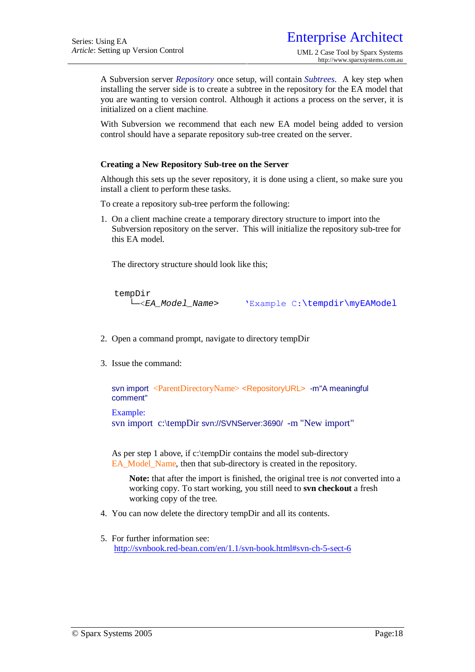A Subversion server *Repository* once setup*,* will contain *Subtrees*. A key step when installing the server side is to create a subtree in the repository for the EA model that you are wanting to version control. Although it actions a process on the server, it is initialized on a client machine.

With Subversion we recommend that each new EA model being added to version control should have a separate repository sub-tree created on the server.

#### **Creating a New Repository Sub-tree on the Server**

Although this sets up the sever repository, it is done using a client, so make sure you install a client to perform these tasks.

To create a repository sub-tree perform the following:

1. On a client machine create a temporary directory structure to import into the Subversion repository on the server. This will initialize the repository sub-tree for this EA model.

The directory structure should look like this;

tempDir

└─<*EA\_Model\_Name*> 'Example C:\tempdir\myEAModel

- 2. Open a command prompt, navigate to directory tempDir
- 3. Issue the command:

svn import <ParentDirectoryName> <RepositoryURL> -m"A meaningful comment"

Example:

svn import c:\tempDir svn://SVNServer:3690/ -m "New import"

As per step 1 above, if c:\tempDir contains the model sub-directory EA\_Model\_Name, then that sub-directory is created in the repository.

**Note:** that after the import is finished, the original tree is *not* converted into a working copy. To start working, you still need to **svn checkout** a fresh working copy of the tree.

- 4. You can now delete the directory tempDir and all its contents.
- 5. For further information see: <http://svnbook.red-bean.com/en/1.1/svn-book.html#svn-ch-5-sect-6>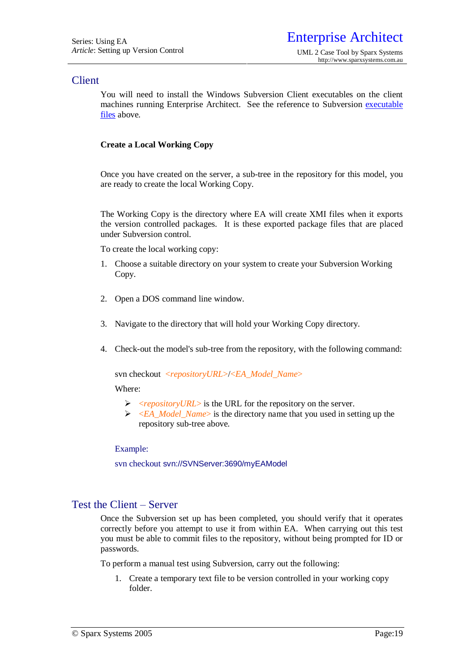## **Client**

You will need to install the Windows Subversion Client executables on the client machines running Enterprise Architect. See the reference to Subversion executable files above.

#### **Create a Local Working Copy**

Once you have created on the server, a sub-tree in the repository for this model, you are ready to create the local Working Copy.

The Working Copy is the directory where EA will create XMI files when it exports the version controlled packages. It is these exported package files that are placed under Subversion control.

To create the local working copy:

- 1. Choose a suitable directory on your system to create your Subversion Working Copy.
- 2. Open a DOS command line window.
- 3. Navigate to the directory that will hold your Working Copy directory.
- 4. Check-out the model's sub-tree from the repository, with the following command:

svn checkout <*repositoryURL*>/<*EA\_Model\_Name*>

Where:

- <*repositoryURL*> is the URL for the repository on the server.
- >  $\leq$  *<EA Model\_Name*> is the directory name that you used in setting up the repository sub-tree above.

Example:

svn checkout svn://SVNServer:3690/myEAModel

## Test the Client – Server

Once the Subversion set up has been completed, you should verify that it operates correctly before you attempt to use it from within EA. When carrying out this test you must be able to commit files to the repository, without being prompted for ID or passwords.

To perform a manual test using Subversion, carry out the following:

1. Create a temporary text file to be version controlled in your working copy folder.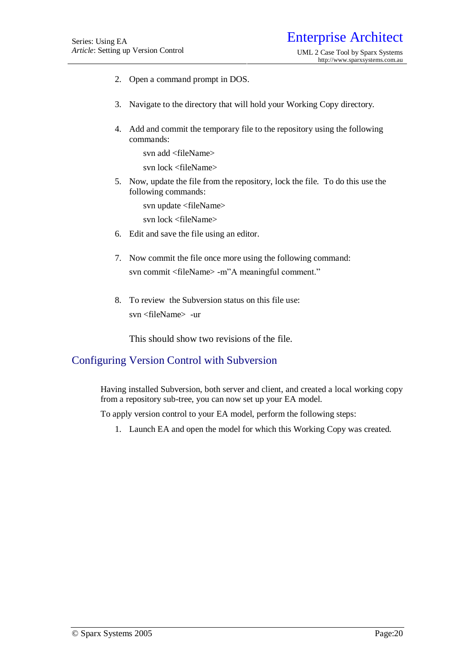- 2. Open a command prompt in DOS.
- 3. Navigate to the directory that will hold your Working Copy directory.
- 4. Add and commit the temporary file to the repository using the following commands:

svn add <fileName>

svn lock <fileName>

5. Now, update the file from the repository, lock the file. To do this use the following commands:

svn update <fileName>

svn lock <fileName>

- 6. Edit and save the file using an editor.
- 7. Now commit the file once more using the following command: svn commit <fileName> -m"A meaningful comment."
- 8. To review the Subversion status on this file use: svn <fileName> -ur

This should show two revisions of the file.

# Configuring Version Control with Subversion

Having installed Subversion, both server and client, and created a local working copy from a repository sub-tree, you can now set up your EA model.

To apply version control to your EA model, perform the following steps:

1. Launch EA and open the model for which this Working Copy was created.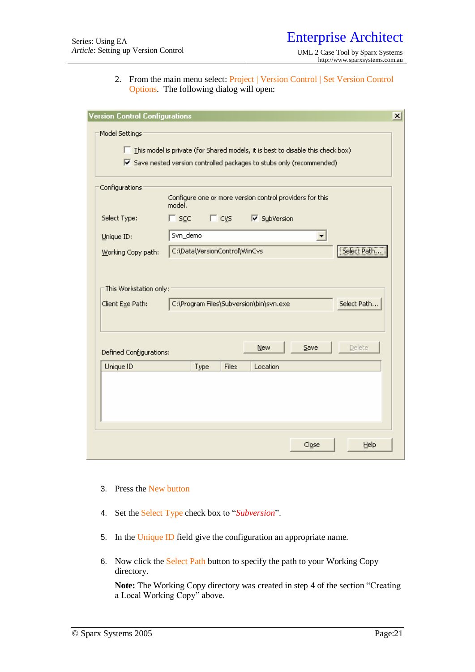2. From the main menu select: Project | Version Control | Set Version Control Options. The following dialog will open:

| <b>Version Control Configurations</b>      |                                                                                                                                                                                               | $\times$ |
|--------------------------------------------|-----------------------------------------------------------------------------------------------------------------------------------------------------------------------------------------------|----------|
| Model Settings                             | $\Box$ This model is private (for Shared models, it is best to disable this check box)<br>$\overline{\blacktriangledown}$ Save nested version controlled packages to stubs only (recommended) |          |
| Configurations                             | Configure one or more version control providers for this<br>model.                                                                                                                            |          |
| Select Type:                               | $\Box$ scc $\Box$ cys<br>√ SubVersion                                                                                                                                                         |          |
| Unique ID:                                 | Svn_demo<br>▼                                                                                                                                                                                 |          |
| Working Copy path:                         | Select Path<br>C:\Data\VersionControl\WinCvs                                                                                                                                                  |          |
| This Workstation only:<br>Client Exe Path: | C:\Program Files\Subversion\bin\svn.exe<br>Select Path                                                                                                                                        |          |
| Defined Configurations:                    | <b>Delete</b><br>New<br>$S$ ave                                                                                                                                                               |          |
| Unique ID                                  | Files<br>Type<br>Location                                                                                                                                                                     |          |
|                                            |                                                                                                                                                                                               |          |
|                                            | Close<br>Help                                                                                                                                                                                 |          |

- 3. Press the New button
- 4. Set the Select Type check box to "*Subversion*".
- 5. In the Unique ID field give the configuration an appropriate name.
- 6. Now click the Select Path button to specify the path to your Working Copy directory.

**Note:** The Working Copy directory was created in step 4 of the section "Creating a Local Working Copy" above.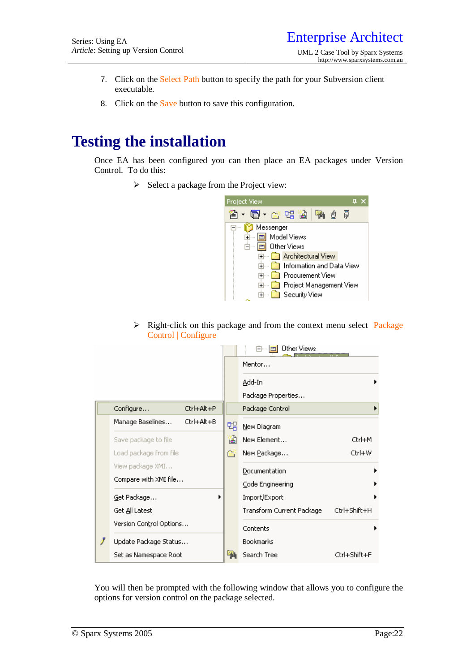- 7. Click on the Select Path button to specify the path for your Subversion client executable.
- 8. Click on the Save button to save this configuration.

# **Testing the installation**

Once EA has been configured you can then place an EA packages under Version Control. To do this:

 $\triangleright$  Select a package from the Project view:



 $\triangleright$  Right-click on this package and from the context menu select Package Control | Configure

|                         |            |   | Other Views<br>$-$          |              |
|-------------------------|------------|---|-----------------------------|--------------|
|                         |            |   | Mentor                      |              |
|                         |            |   | <u>A</u> dd-In              |              |
|                         |            |   | Package Properties          |              |
| Configure               | Ctrl+Alt+P |   | Package Control             |              |
| Manage Baselines        | Ctrl+Alt+B | 멖 | New Diagram                 |              |
| Save package to file    |            | 窗 | New Element                 | Ctrl+M       |
| Load package from file  |            | ø | New <u>P</u> ackage         | Ctrl+W       |
| View package XMI        |            |   | Documentation               |              |
| Compare with XMI file   |            |   | Code Engineering            |              |
| Get Package             |            |   | Import/Export               |              |
| Get <u>A</u> ll Latest  |            |   | Transform Current Package . | Ctrl+Shift+H |
| Version Control Options |            |   | Contents                    |              |
| Update Package Status   |            |   | Bookmarks                   |              |
| Set as Namespace Root   |            |   | Search Tree                 | Ctrl+Shift+F |

You will then be prompted with the following window that allows you to configure the options for version control on the package selected.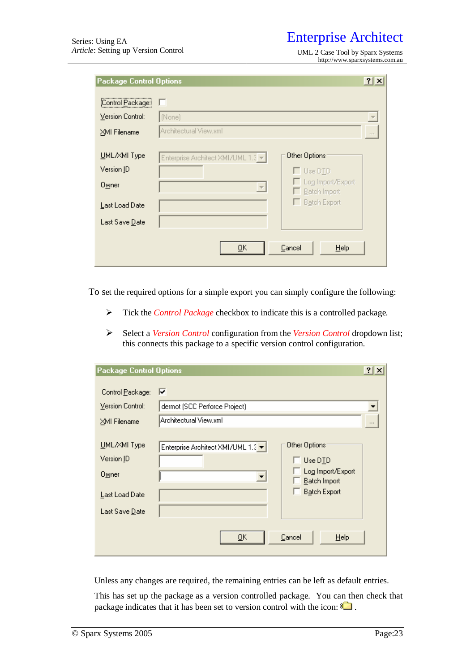<http://www.sparxsystems.com.au>

| <b>Package Control Options</b> |                                                                              | $ ?  \times$             |
|--------------------------------|------------------------------------------------------------------------------|--------------------------|
| [Control Package:              | ш                                                                            |                          |
| Version Control:               | [None]                                                                       |                          |
| ⊠MI Filename                   | Architectural View.xml                                                       | $\sim$ $\times$ $\times$ |
| UML/XMI Type<br>Version ID     | Other Options<br>Enterprise Architect XMI/UML 1.3 -<br>$\Box$ Use D $\Box$ D |                          |
| 0 <sub>W</sub> ner             | □ Log Import/Export<br>$\overline{\phantom{m}}$<br>E Batch Import            |                          |
| Last Load Date                 | $\Box$ Batch Export                                                          |                          |
| Last Save Date                 |                                                                              |                          |
|                                | Cancel<br>Help<br><u>ο</u> κ                                                 |                          |

To set the required options for a simple export you can simply configure the following:

- Tick the *Control Package* checkbox to indicate this is a controlled package.
- Select a *Version Control* configuration from the *Version Control* dropdown list; this connects this package to a specific version control configuration.

| <b>Package Control Options</b>                                                               |                                    | $?$ $\times$                                                                   |
|----------------------------------------------------------------------------------------------|------------------------------------|--------------------------------------------------------------------------------|
| Control Package:                                                                             | ⊽                                  |                                                                                |
| Version Control:                                                                             | dermot (SCC Perforce Project)      |                                                                                |
| ⊠MI Filename                                                                                 | Architectural View.xml             |                                                                                |
| UML/XMI Type<br>Version ID<br>0 <sub>.</sub> Mer<br>Last Load Date<br>Last Save <u>D</u> ate | Enterprise Architect XMI/UML 1.3 ▼ | Other Options:<br>Use DID<br>Log Import/Export<br>Batch Import<br>Batch Export |
|                                                                                              | Cancel<br>ŪΚ                       | Help                                                                           |

Unless any changes are required, the remaining entries can be left as default entries.

This has set up the package as a version controlled package. You can then check that package indicates that it has been set to version control with the icon:  $\Box$ .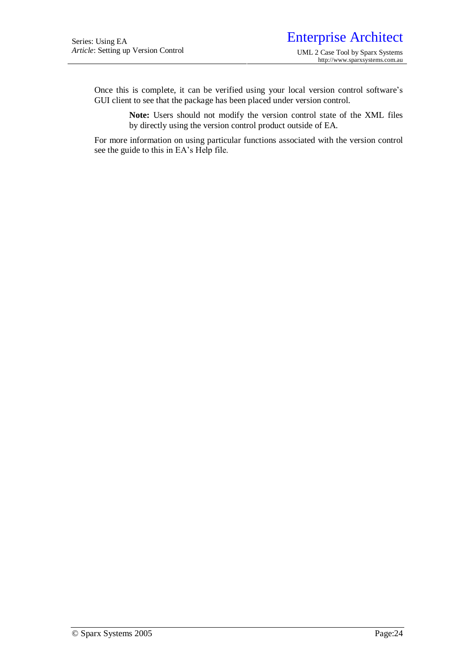Once this is complete, it can be verified using your local version control software's GUI client to see that the package has been placed under version control.

> **Note:** Users should not modify the version control state of the XML files by directly using the version control product outside of EA.

For more information on using particular functions associated with the version control see the guide to this in EA's Help file.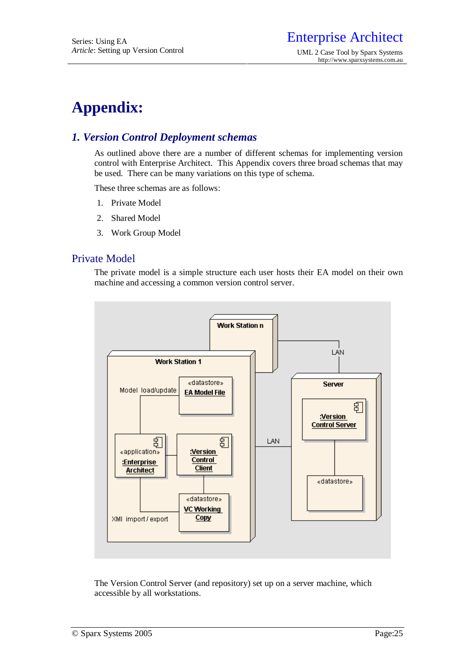# **Appendix:**

# *1. Version Control Deployment schemas*

As outlined above there are a number of different schemas for implementing version control with Enterprise Architect. This Appendix covers three broad schemas that may be used. There can be many variations on this type of schema.

These three schemas are as follows:

- 1. Private Model
- 2. Shared Model
- 3. Work Group Model

## Private Model

The private model is a simple structure each user hosts their EA model on their own machine and accessing a common version control server.



The Version Control Server (and repository) set up on a server machine, which accessible by all workstations.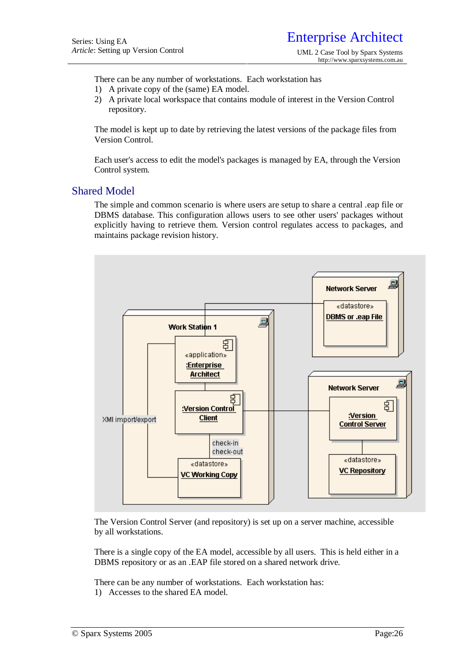There can be any number of workstations. Each workstation has

- 1) A private copy of the (same) EA model.
- 2) A private local workspace that contains module of interest in the Version Control repository.

The model is kept up to date by retrieving the latest versions of the package files from Version Control.

Each user's access to edit the model's packages is managed by EA, through the Version Control system.

## Shared Model

The simple and common scenario is where users are setup to share a central .eap file or DBMS database. This configuration allows users to see other users' packages without explicitly having to retrieve them. Version control regulates access to packages, and maintains package revision history.



The Version Control Server (and repository) is set up on a server machine, accessible by all workstations.

There is a single copy of the EA model, accessible by all users. This is held either in a DBMS repository or as an .EAP file stored on a shared network drive.

There can be any number of workstations. Each workstation has:

1) Accesses to the shared EA model.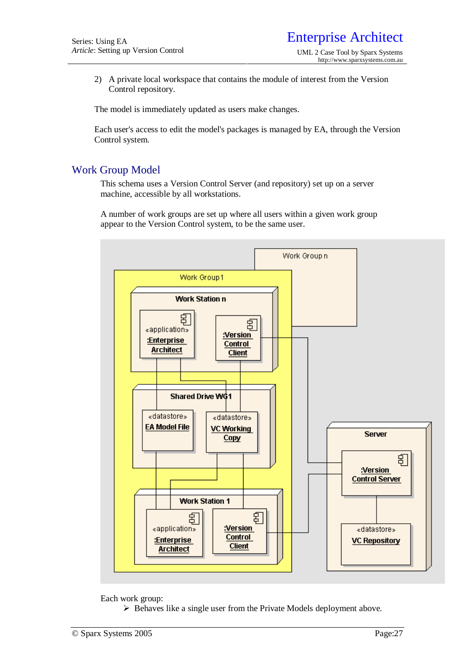2) A private local workspace that contains the module of interest from the Version Control repository.

The model is immediately updated as users make changes.

Each user's access to edit the model's packages is managed by EA, through the Version Control system.

# Work Group Model

This schema uses a Version Control Server (and repository) set up on a server machine, accessible by all workstations.

A number of work groups are set up where all users within a given work group appear to the Version Control system, to be the same user.



Each work group:

 $\triangleright$  Behaves like a single user from the Private Models deployment above.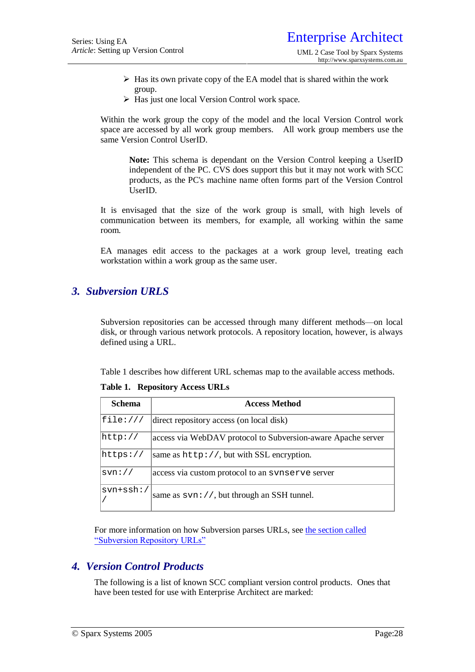- $\triangleright$  Has its own private copy of the EA model that is shared within the work group.
- ▶ Has just one local Version Control work space.

Within the work group the copy of the model and the local Version Control work space are accessed by all work group members. All work group members use the same Version Control UserID.

**Note:** This schema is dependant on the Version Control keeping a UserID independent of the PC. CVS does support this but it may not work with SCC products, as the PC's machine name often forms part of the Version Control UserID.

It is envisaged that the size of the work group is small, with high levels of communication between its members, for example, all working within the same room.

EA manages edit access to the packages at a work group level, treating each workstation within a work group as the same user.

# *3. Subversion URLS*

Subversion repositories can be accessed through many different methods—on local disk, or through various network protocols. A repository location, however, is always defined using a URL.

Table 1 describes how different URL schemas map to the available access methods.

|  | Table 1. Repository Access URLs |  |  |
|--|---------------------------------|--|--|
|--|---------------------------------|--|--|

| <b>Schema</b>              | <b>Access Method</b>                                         |
|----------------------------|--------------------------------------------------------------|
| file://                    | direct repository access (on local disk)                     |
| http://                    | access via WebDAV protocol to Subversion-aware Apache server |
| $\hbox{\texttt{https://}}$ | same as $http://, but with SSL encryption.$                  |
| sym://                     | access via custom protocol to an synserve server             |
| $svn + ssh$ :/             | same as $\text{syn}$ : //, but through an SSH tunnel.        |

For more information on how Subversion parses URLs, see the section called "Subversion Repository URLs"

## *4. Version Control Products*

The following is a list of known SCC compliant version control products. Ones that have been tested for use with Enterprise Architect are marked: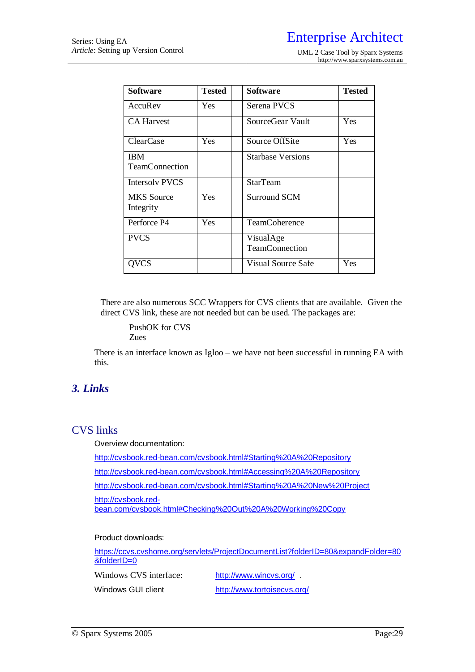| <b>Software</b>                     | <b>Tested</b> | <b>Software</b>             | <b>Tested</b> |
|-------------------------------------|---------------|-----------------------------|---------------|
| AccuRev                             | Yes           | Serena PVCS                 |               |
| <b>CA Harvest</b>                   |               | SourceGear Vault            | Yes           |
| ClearCase                           | Yes           | Source OffSite              | Yes           |
| <b>IBM</b><br><b>TeamConnection</b> |               | <b>Starbase Versions</b>    |               |
| <b>Intersolv PVCS</b>               |               | <b>StarTeam</b>             |               |
| <b>MKS</b> Source<br>Integrity      | Yes           | Surround SCM                |               |
| Perforce P4                         | Yes           | <b>TeamCoherence</b>        |               |
| <b>PVCS</b>                         |               | VisualAge<br>TeamConnection |               |
| OVCS                                |               | Visual Source Safe          | Yes           |

There are also numerous SCC Wrappers for CVS clients that are available. Given the direct CVS link, these are not needed but can be used. The packages are:

PushOK for CVS Zues

There is an interface known as Igloo – we have not been successful in running EA with this.

# *3. Links*

# CVS links

Overview documentation:

<http://cvsbook.red-bean.com/cvsbook.html#Starting%20A%20Repository>

<http://cvsbook.red-bean.com/cvsbook.html#Accessing%20A%20Repository>

<http://cvsbook.red-bean.com/cvsbook.html#Starting%20A%20New%20Project>

<http://cvsbook.red->

bean.com/cvsbook.html#Checking%20Out%20A%20Working%20Copy

#### Product downloads:

<https://ccvs.cvshome.org/servlets/ProjectDocumentList?folderID=80&expandFolder=80> &folderID=0

Windows CVS interface: http://www.wincvs.org/

Windows GUI client <http://www.tortoisecvs.org/>

© Sparx Systems 2005 Page:29